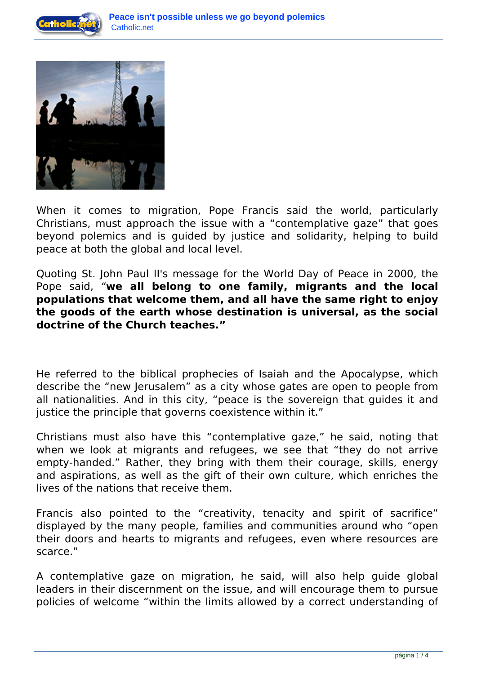



When it comes to migration, Pope Francis said the world, particularly Christians, must approach the issue with a "contemplative gaze" that goes beyond polemics and is guided by justice and solidarity, helping to build peace at both the global and local level.

Quoting St. John Paul II's message for the World Day of Peace in 2000, the Pope said, "**we all belong to one family, migrants and the local populations that welcome them, and all have the same right to enjoy the goods of the earth whose destination is universal, as the social doctrine of the Church teaches."**

He referred to the biblical prophecies of Isaiah and the Apocalypse, which describe the "new Jerusalem" as a city whose gates are open to people from all nationalities. And in this city, "peace is the sovereign that guides it and justice the principle that governs coexistence within it."

Christians must also have this "contemplative gaze," he said, noting that when we look at migrants and refugees, we see that "they do not arrive empty-handed." Rather, they bring with them their courage, skills, energy and aspirations, as well as the gift of their own culture, which enriches the lives of the nations that receive them.

Francis also pointed to the "creativity, tenacity and spirit of sacrifice" displayed by the many people, families and communities around who "open their doors and hearts to migrants and refugees, even where resources are scarce."

A contemplative gaze on migration, he said, will also help guide global leaders in their discernment on the issue, and will encourage them to pursue policies of welcome "within the limits allowed by a correct understanding of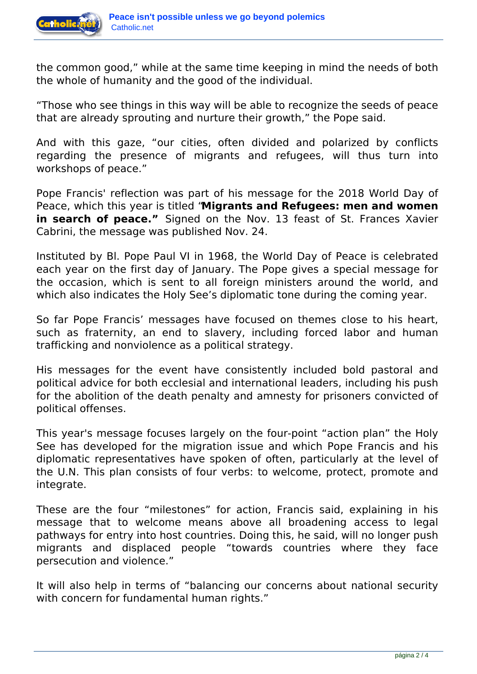

the common good," while at the same time keeping in mind the needs of both the whole of humanity and the good of the individual.

"Those who see things in this way will be able to recognize the seeds of peace that are already sprouting and nurture their growth," the Pope said.

And with this gaze, "our cities, often divided and polarized by conflicts regarding the presence of migrants and refugees, will thus turn into workshops of peace."

Pope Francis' reflection was part of his message for the 2018 World Day of Peace, which this year is titled "**Migrants and Refugees: men and women in search of peace."** Signed on the Nov. 13 feast of St. Frances Xavier Cabrini, the message was published Nov. 24.

Instituted by Bl. Pope Paul VI in 1968, the World Day of Peace is celebrated each year on the first day of January. The Pope gives a special message for the occasion, which is sent to all foreign ministers around the world, and which also indicates the Holy See's diplomatic tone during the coming year.

So far Pope Francis' messages have focused on themes close to his heart, such as fraternity, an end to slavery, including forced labor and human trafficking and nonviolence as a political strategy.

His messages for the event have consistently included bold pastoral and political advice for both ecclesial and international leaders, including his push for the abolition of the death penalty and amnesty for prisoners convicted of political offenses.

This year's message focuses largely on the four-point "action plan" the Holy See has developed for the migration issue and which Pope Francis and his diplomatic representatives have spoken of often, particularly at the level of the U.N. This plan consists of four verbs: to welcome, protect, promote and integrate.

These are the four "milestones" for action, Francis said, explaining in his message that to welcome means above all broadening access to legal pathways for entry into host countries. Doing this, he said, will no longer push migrants and displaced people "towards countries where they face persecution and violence."

It will also help in terms of "balancing our concerns about national security with concern for fundamental human rights."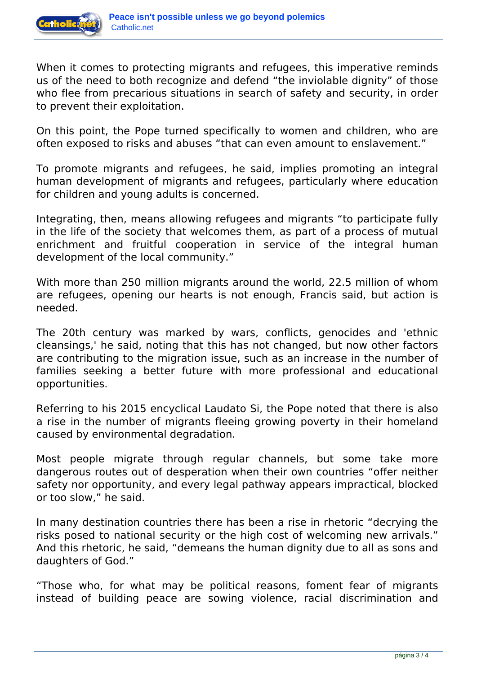

When it comes to protecting migrants and refugees, this imperative reminds us of the need to both recognize and defend "the inviolable dignity" of those who flee from precarious situations in search of safety and security, in order to prevent their exploitation.

On this point, the Pope turned specifically to women and children, who are often exposed to risks and abuses "that can even amount to enslavement."

To promote migrants and refugees, he said, implies promoting an integral human development of migrants and refugees, particularly where education for children and young adults is concerned.

Integrating, then, means allowing refugees and migrants "to participate fully in the life of the society that welcomes them, as part of a process of mutual enrichment and fruitful cooperation in service of the integral human development of the local community."

With more than 250 million migrants around the world, 22.5 million of whom are refugees, opening our hearts is not enough, Francis said, but action is needed.

The 20th century was marked by wars, conflicts, genocides and 'ethnic cleansings,' he said, noting that this has not changed, but now other factors are contributing to the migration issue, such as an increase in the number of families seeking a better future with more professional and educational opportunities.

Referring to his 2015 encyclical Laudato Si, the Pope noted that there is also a rise in the number of migrants fleeing growing poverty in their homeland caused by environmental degradation.

Most people migrate through regular channels, but some take more dangerous routes out of desperation when their own countries "offer neither safety nor opportunity, and every legal pathway appears impractical, blocked or too slow," he said.

In many destination countries there has been a rise in rhetoric "decrying the risks posed to national security or the high cost of welcoming new arrivals." And this rhetoric, he said, "demeans the human dignity due to all as sons and daughters of God."

"Those who, for what may be political reasons, foment fear of migrants instead of building peace are sowing violence, racial discrimination and